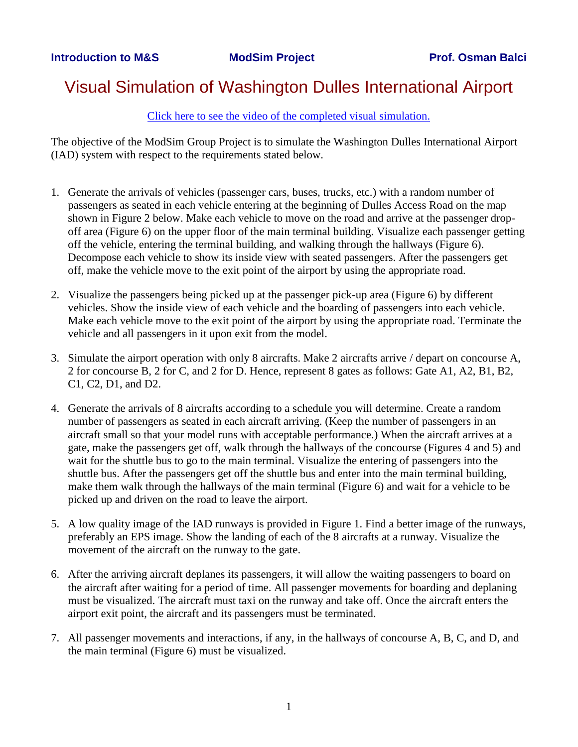## Visual Simulation of Washington Dulles International Airport

[Click here to see the video of the completed visual simulation.](http://www.acm-sigsim-mskr.org/Courseware/Balci/videos.htm)

The objective of the ModSim Group Project is to simulate the Washington Dulles International Airport (IAD) system with respect to the requirements stated below.

- 1. Generate the arrivals of vehicles (passenger cars, buses, trucks, etc.) with a random number of passengers as seated in each vehicle entering at the beginning of Dulles Access Road on the map shown in Figure 2 below. Make each vehicle to move on the road and arrive at the passenger dropoff area (Figure 6) on the upper floor of the main terminal building. Visualize each passenger getting off the vehicle, entering the terminal building, and walking through the hallways (Figure 6). Decompose each vehicle to show its inside view with seated passengers. After the passengers get off, make the vehicle move to the exit point of the airport by using the appropriate road.
- 2. Visualize the passengers being picked up at the passenger pick-up area (Figure 6) by different vehicles. Show the inside view of each vehicle and the boarding of passengers into each vehicle. Make each vehicle move to the exit point of the airport by using the appropriate road. Terminate the vehicle and all passengers in it upon exit from the model.
- 3. Simulate the airport operation with only 8 aircrafts. Make 2 aircrafts arrive / depart on concourse A, 2 for concourse B, 2 for C, and 2 for D. Hence, represent 8 gates as follows: Gate A1, A2, B1, B2, C1, C2, D1, and D2.
- 4. Generate the arrivals of 8 aircrafts according to a schedule you will determine. Create a random number of passengers as seated in each aircraft arriving. (Keep the number of passengers in an aircraft small so that your model runs with acceptable performance.) When the aircraft arrives at a gate, make the passengers get off, walk through the hallways of the concourse (Figures 4 and 5) and wait for the shuttle bus to go to the main terminal. Visualize the entering of passengers into the shuttle bus. After the passengers get off the shuttle bus and enter into the main terminal building, make them walk through the hallways of the main terminal (Figure 6) and wait for a vehicle to be picked up and driven on the road to leave the airport.
- 5. A low quality image of the IAD runways is provided in Figure 1. Find a better image of the runways, preferably an EPS image. Show the landing of each of the 8 aircrafts at a runway. Visualize the movement of the aircraft on the runway to the gate.
- 6. After the arriving aircraft deplanes its passengers, it will allow the waiting passengers to board on the aircraft after waiting for a period of time. All passenger movements for boarding and deplaning must be visualized. The aircraft must taxi on the runway and take off. Once the aircraft enters the airport exit point, the aircraft and its passengers must be terminated.
- 7. All passenger movements and interactions, if any, in the hallways of concourse A, B, C, and D, and the main terminal (Figure 6) must be visualized.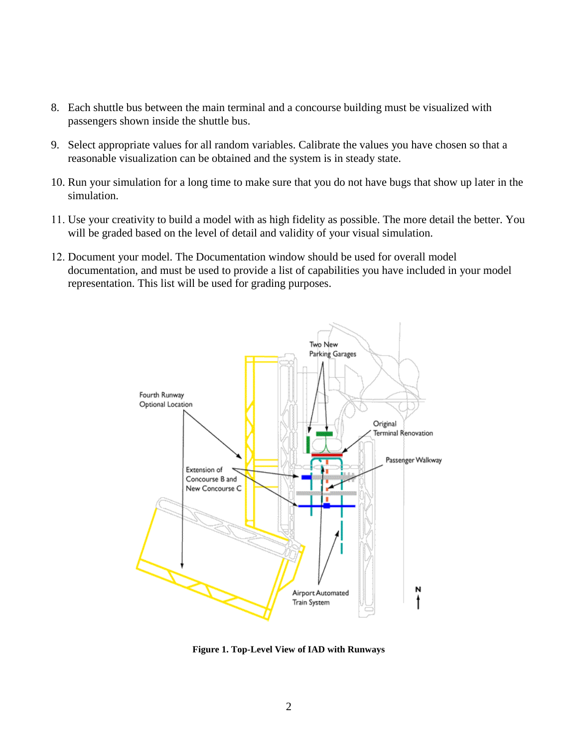- 8. Each shuttle bus between the main terminal and a concourse building must be visualized with passengers shown inside the shuttle bus.
- 9. Select appropriate values for all random variables. Calibrate the values you have chosen so that a reasonable visualization can be obtained and the system is in steady state.
- 10. Run your simulation for a long time to make sure that you do not have bugs that show up later in the simulation.
- 11. Use your creativity to build a model with as high fidelity as possible. The more detail the better. You will be graded based on the level of detail and validity of your visual simulation.
- 12. Document your model. The Documentation window should be used for overall model documentation, and must be used to provide a list of capabilities you have included in your model representation. This list will be used for grading purposes.



**Figure 1. Top-Level View of IAD with Runways**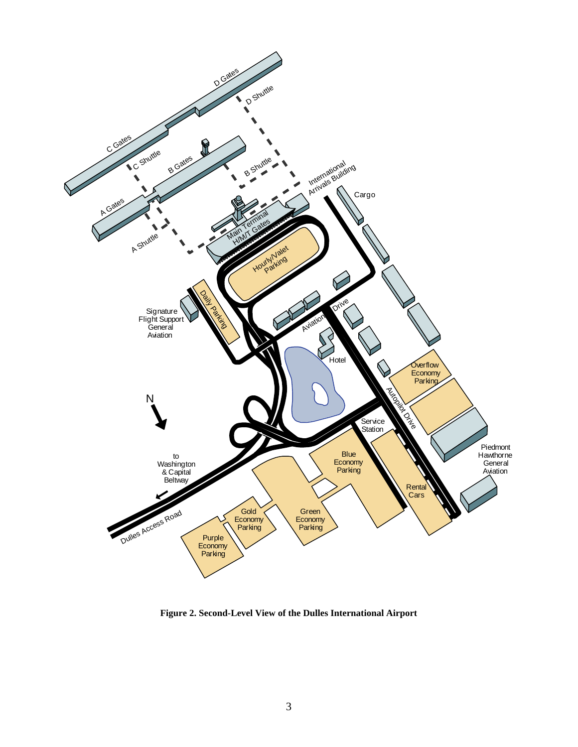

**Figure 2. Second-Level View of the Dulles International Airport**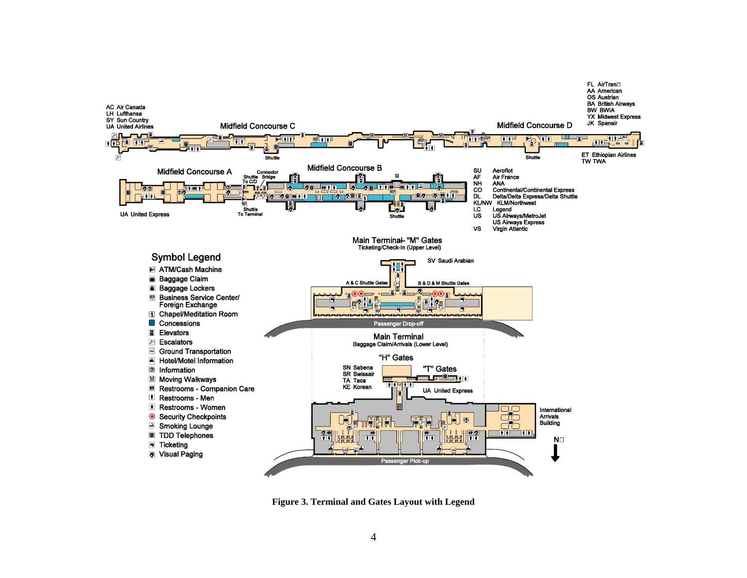

**Figure 3. Terminal and Gates Layout with Legend**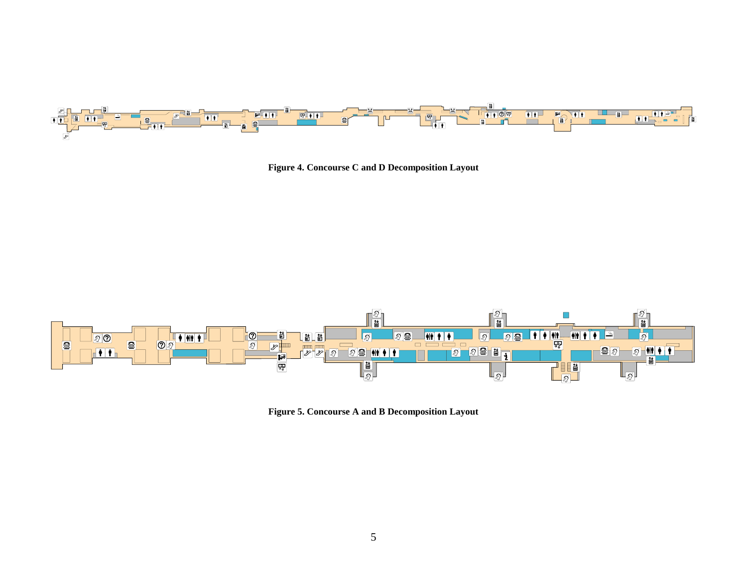![](_page_4_Figure_0.jpeg)

**Figure 4. Concourse C and D Decomposition Layout**

![](_page_4_Figure_2.jpeg)

**Figure 5. Concourse A and B Decomposition Layout**